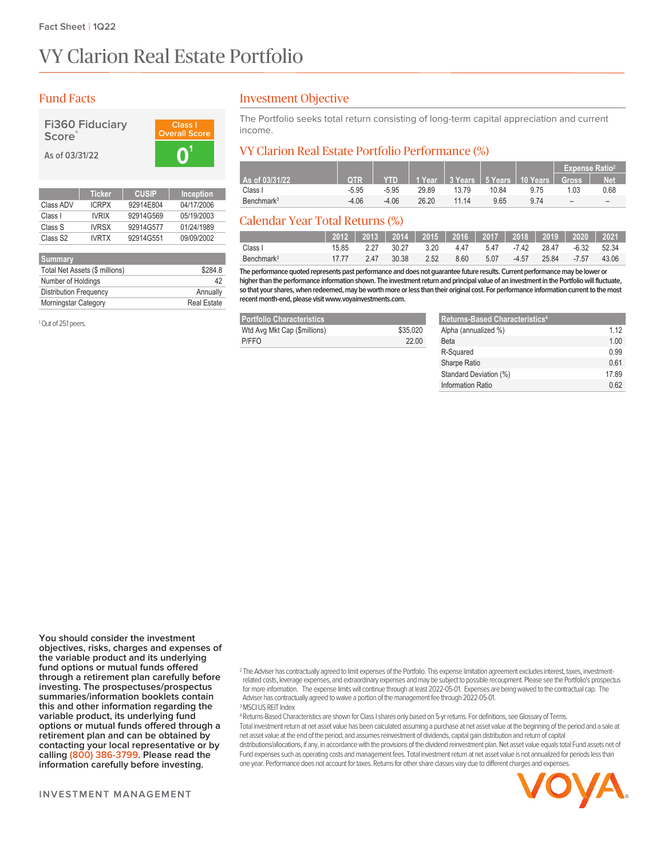# VY Clarion Real Estate Portfolio

# Fund Facts

| <b>Fi360 Fiduciary</b> | Clas           |
|------------------------|----------------|
| Score®                 | <b>Overall</b> |
| As of 03/31/22         |                |



|                      | <b>Ticker</b> | <b>CUSIP</b> | <b>Inception</b> |
|----------------------|---------------|--------------|------------------|
| Class ADV            | <b>ICRPX</b>  | 92914E804    | 04/17/2006       |
| Class I              | <b>IVRIX</b>  | 92914G569    | 05/19/2003       |
| Class S              | <b>IVRSX</b>  | 92914G577    | 01/24/1989       |
| Class S <sub>2</sub> | <b>IVRTX</b>  | 92914G551    | 09/09/2002       |
|                      |               |              |                  |

| <b>Summary</b>                 |                    |
|--------------------------------|--------------------|
| Total Net Assets (\$ millions) | \$284.8            |
| Number of Holdings             | 42                 |
| <b>Distribution Frequency</b>  | Annually           |
| <b>Morningstar Category</b>    | <b>Real Estate</b> |

<sup>1</sup> Out of 251 peers.

### Investment Objective

The Portfolio seeks total return consisting of long-term capital appreciation and current income.

## VY Clarion Real Estate Portfolio Performance (%)

|                        |            |            |       |       |       |                                           | <b>Expense Ratio<sup>2</sup></b> |            |
|------------------------|------------|------------|-------|-------|-------|-------------------------------------------|----------------------------------|------------|
| As of 03/31/22         | <b>OTR</b> | <b>YTD</b> |       |       |       | │ 1 Year │ 3 Years │ 5 Years │ 10 Years │ | <b>Gross</b>                     | <b>Net</b> |
| Class I                | $-5.95$    | $-5.95$    | 29.89 | 13.79 | 10.84 | 9.75                                      | 1.03                             | 0.68       |
| Benchmark <sup>3</sup> | $-4.06$    | $-4.06$    | 26.20 | 11 14 | 9.65  | 974                                       | -                                |            |

# Calendar Year Total Returns (%)

|                        |       |      | 2012   2013   2014   2015   2016   2017   2018   2019   2020 <sup> </sup> |      |      |      |             |       |         | 2021  |
|------------------------|-------|------|---------------------------------------------------------------------------|------|------|------|-------------|-------|---------|-------|
| Class I                | 15.85 | 227  | 30.27                                                                     | 3.20 | 4.47 | 547  | -7.42 28.47 |       | -6.32   | 52.34 |
| Benchmark <sup>3</sup> | 1777  | 2 47 | 30.38                                                                     | 2.52 | 8.60 | 5.07 | $-4.57$     | 25.84 | $-7.57$ | 43.06 |

**The performance quoted represents past performance and does not guaranteefuture results. Current performance may be lower or higherthanthe performance information shown. The investment return and principal value of an investment inthe Portfoliowillfluctuate,** so that your shares, when redeemed, may be worth more or less than their original cost. For performance information current to the most recent month-end, please visit www.voyainvestments.com.

| <b>Portfolio Characteristics</b> |          |
|----------------------------------|----------|
| Wtd Avg Mkt Cap (\$millions)     | \$35,020 |
| P/FFO                            | 22.00    |

| <b>Returns-Based Characteristics4</b> |       |
|---------------------------------------|-------|
| Alpha (annualized %)                  | 1 1 2 |
| <b>Beta</b>                           | 1.00  |
| R-Squared                             | 0.99  |
| Sharpe Ratio                          | 0.61  |
| Standard Deviation (%)                | 1789  |
| Information Ratio                     | በ 62  |

**You should consider the investment objectives, risks, charges and expenses of the variable product and its underlying fund options or mutual funds offered through a retirement plan carefully before investing. The prospectuses/prospectus summaries/information booklets contain this and other information regarding the variable product, its underlying fund options or mutual funds offered through a retirement plan and can be obtained by contacting your local representative or by calling (800) 386-3799. Please read the information carefully before investing.**

<sup>2</sup> The Adviser has contractually agreed to limit expenses of the Portfolio. This expense limitation agreement excludes interest, taxes, investmentrelated costs, leverage expenses, and extraordinary expenses and may be subject to possiblerecoupment. Please see the Portfolio's prospectus for more information. The expense limits will continue through at least 2022-05-01. Expenses are being waived to the contractual cap. The Adviser has contractually agreed to waive a portion of the management fee through 2022-05-01. <sup>3</sup>MSCI US REIT Index

<sup>4</sup> Returns-Based Characteristics are shown for Class I shares only based on 5-yrreturns. For definitions, see Glossary of Terms. Total investmentreturn at net asset value has been calculated assuming a purchase at net asset value at the beginning of the period and a sale at net asset value at the end of the period; and assumes reinvestment of dividends, capital gain distribution and return of capital distributions/allocations, if any, in accordance with the provisions of the dividend reinvestment plan. Net asset value equals total Fund assets net of Fund expenses such as operating costs and management fees. Total investmentreturn at net asset value is not annualized for periods less than one year. Performance does not account for taxes. Returns for other share classes vary due to different charges and expenses.